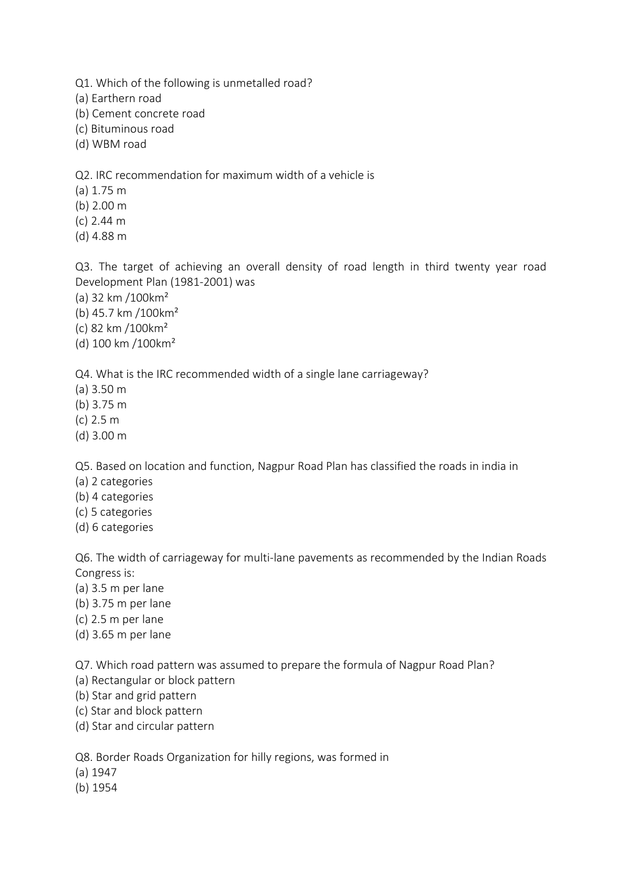Q1. Which of the following is unmetalled road?

(a) Earthern road

(b) Cement concrete road

(c) Bituminous road

(d) WBM road

Q2. IRC recommendation for maximum width of a vehicle is

(a) 1.75 m

- (b) 2.00 m
- (c) 2.44 m
- (d) 4.88 m

Q3. The target of achieving an overall density of road length in third twenty year road Development Plan (1981-2001) was

(a) 32 km /100km²

(b) 45.7 km /100km²

(c) 82 km /100km²

(d) 100 km /100km²

Q4. What is the IRC recommended width of a single lane carriageway?

(a) 3.50 m

(b) 3.75 m

- (c) 2.5 m
- (d) 3.00 m

Q5. Based on location and function, Nagpur Road Plan has classified the roads in india in

- (a) 2 categories
- (b) 4 categories
- (c) 5 categories
- (d) 6 categories

Q6. The width of carriageway for multi-lane pavements as recommended by the Indian Roads Congress is:

- (a) 3.5 m per lane
- (b) 3.75 m per lane
- (c) 2.5 m per lane
- (d) 3.65 m per lane

Q7. Which road pattern was assumed to prepare the formula of Nagpur Road Plan?

- (a) Rectangular or block pattern
- (b) Star and grid pattern
- (c) Star and block pattern
- (d) Star and circular pattern

Q8. Border Roads Organization for hilly regions, was formed in

- (a) 1947
- (b) 1954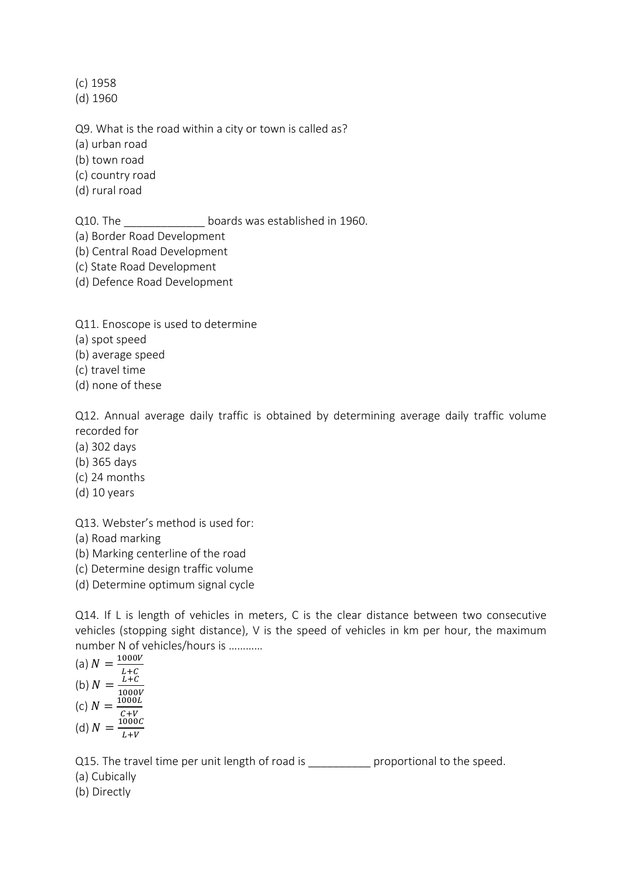(c) 1958

(d) 1960

Q9. What is the road within a city or town is called as?

(a) urban road

(b) town road

(c) country road

(d) rural road

Q10. The **Example 2010** boards was established in 1960.

(a) Border Road Development

(b) Central Road Development

- (c) State Road Development
- (d) Defence Road Development

Q11. Enoscope is used to determine

(a) spot speed

(b) average speed

(c) travel time

(d) none of these

Q12. Annual average daily traffic is obtained by determining average daily traffic volume recorded for

- (a) 302 days
- (b) 365 days
- (c) 24 months
- (d) 10 years

Q13. Webster's method is used for:

(a) Road marking

(b) Marking centerline of the road

(c) Determine design traffic volume

(d) Determine optimum signal cycle

Q14. If L is length of vehicles in meters, C is the clear distance between two consecutive vehicles (stopping sight distance), V is the speed of vehicles in km per hour, the maximum number N of vehicles/hours is …………

(a) 
$$
N = \frac{1000V}{L+C}
$$
  
\n(b)  $N = \frac{L+C}{1000V}$   
\n(c)  $N = \frac{1000L}{C+V}$   
\n(d)  $N = \frac{1000C}{L+V}$ 

Q15. The travel time per unit length of road is proportional to the speed.

(a) Cubically

(b) Directly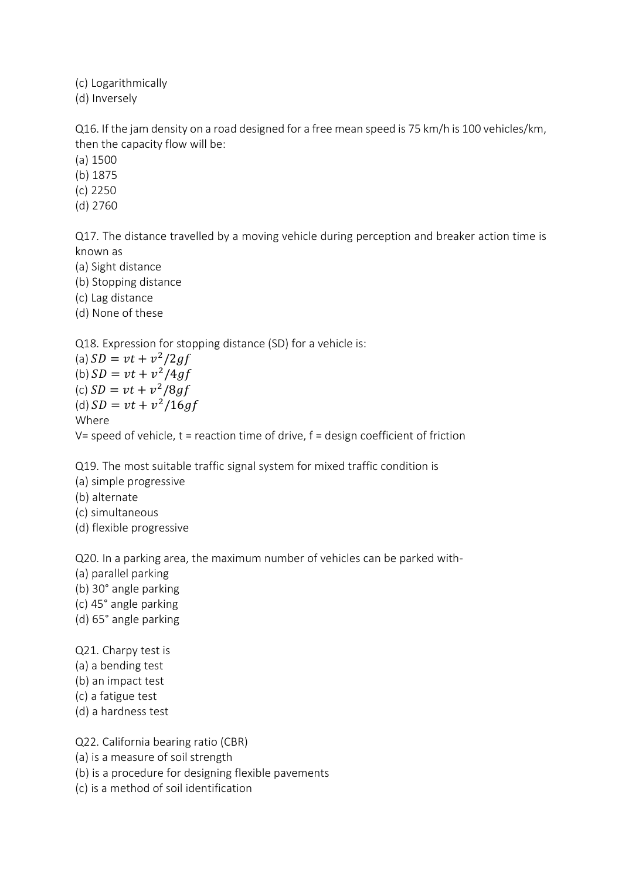(c) Logarithmically

(d) Inversely

Q16. If the jam density on a road designed for a free mean speed is 75 km/h is 100 vehicles/km, then the capacity flow will be:

(a) 1500

(b) 1875

(c) 2250

(d) 2760

Q17. The distance travelled by a moving vehicle during perception and breaker action time is known as

(a) Sight distance

(b) Stopping distance

(c) Lag distance

(d) None of these

Q18. Expression for stopping distance (SD) for a vehicle is:

(a)  $SD = vt + v^2 / 2gf$ (b)  $SD = vt + v^2 / 4gf$ (c)  $SD = vt + v^2 / 8gf$ (d)  $SD = vt + v^2/16gf$ Where V= speed of vehicle,  $t =$  reaction time of drive,  $f =$  design coefficient of friction

Q19. The most suitable traffic signal system for mixed traffic condition is

(a) simple progressive

(b) alternate

(c) simultaneous

(d) flexible progressive

Q20. In a parking area, the maximum number of vehicles can be parked with-

(a) parallel parking

- (b) 30° angle parking
- (c) 45° angle parking
- (d) 65° angle parking

Q21. Charpy test is (a) a bending test

(b) an impact test

(c) a fatigue test

(d) a hardness test

Q22. California bearing ratio (CBR)

(a) is a measure of soil strength

(b) is a procedure for designing flexible pavements

(c) is a method of soil identification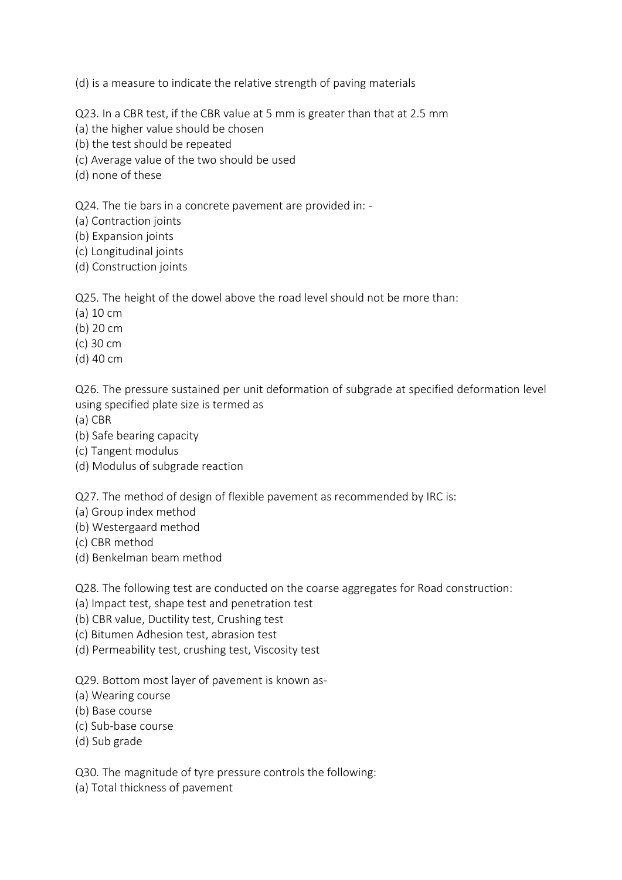(d) is a measure to indicate the relative strength of paving materials

Q23. In a CBR test, if the CBR value at 5 mm is greater than that at 2.5 mm

- (a) the higher value should be chosen
- (b) the test should be repeated
- (c) Average value of the two should be used
- (d) none of these

Q24. The tie bars in a concrete pavement are provided in: -

- (a) Contraction joints
- (b) Expansion joints
- (c) Longitudinal joints
- (d) Construction joints

Q25. The height of the dowel above the road level should not be more than:

- (a) 10 cm
- (b) 20 cm
- (c) 30 cm
- (d) 40 cm

Q26. The pressure sustained per unit deformation of subgrade at specified deformation level using specified plate size is termed as

- (a) CBR
- (b) Safe bearing capacity
- (c) Tangent modulus
- (d) Modulus of subgrade reaction

Q27. The method of design of flexible pavement as recommended by IRC is:

- (a) Group index method
- (b) Westergaard method
- (c) CBR method
- (d) Benkelman beam method

Q28. The following test are conducted on the coarse aggregates for Road construction:

- (a) Impact test, shape test and penetration test
- (b) CBR value, Ductility test, Crushing test
- (c) Bitumen Adhesion test, abrasion test
- (d) Permeability test, crushing test, Viscosity test

Q29. Bottom most layer of pavement is known as-

- (a) Wearing course
- (b) Base course
- (c) Sub-base course
- (d) Sub grade

Q30. The magnitude of tyre pressure controls the following:

(a) Total thickness of pavement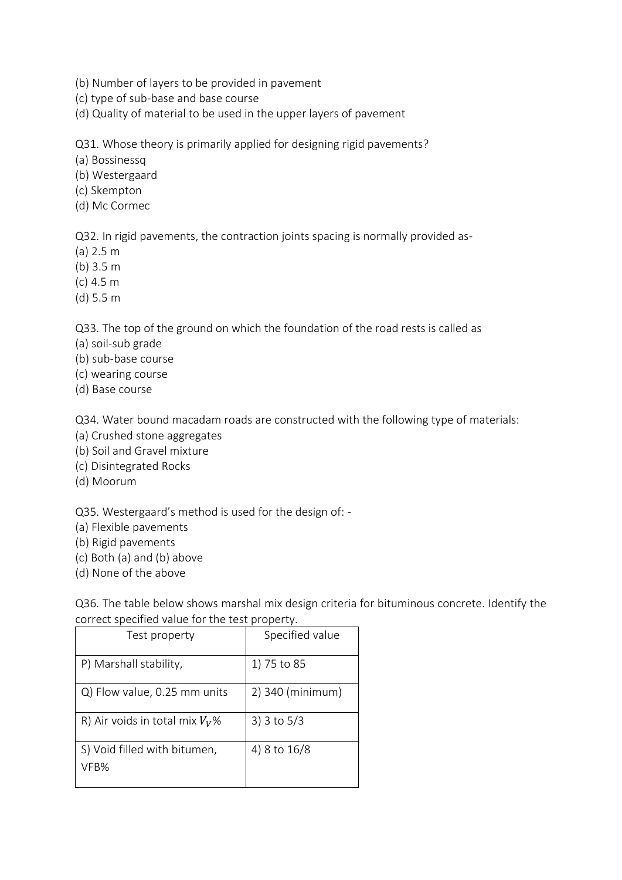(b) Number of layers to be provided in pavement

(c) type of sub-base and base course

(d) Quality of material to be used in the upper layers of pavement

Q31. Whose theory is primarily applied for designing rigid pavements?

(a) Bossinessq

(b) Westergaard

- (c) Skempton
- (d) Mc Cormec

Q32. In rigid pavements, the contraction joints spacing is normally provided as-

- (a) 2.5 m
- (b) 3.5 m
- (c) 4.5 m
- (d) 5.5 m

Q33. The top of the ground on which the foundation of the road rests is called as

- (a) soil-sub grade
- (b) sub-base course
- (c) wearing course
- (d) Base course

Q34. Water bound macadam roads are constructed with the following type of materials:

- (a) Crushed stone aggregates
- (b) Soil and Gravel mixture
- (c) Disintegrated Rocks
- (d) Moorum

Q35. Westergaard's method is used for the design of: -

- (a) Flexible pavements
- (b) Rigid pavements
- (c) Both (a) and (b) above
- (d) None of the above

Q36. The table below shows marshal mix design criteria for bituminous concrete. Identify the correct specified value for the test property.

| correct specified value for the test property. |                  |  |
|------------------------------------------------|------------------|--|
| Test property                                  | Specified value  |  |
| P) Marshall stability,                         | 1) 75 to 85      |  |
| Q) Flow value, 0.25 mm units                   | 2) 340 (minimum) |  |
| R) Air voids in total mix $V_V\%$              | 3) $3$ to $5/3$  |  |
| S) Void filled with bitumen,<br>VFB%           | 4) 8 to 16/8     |  |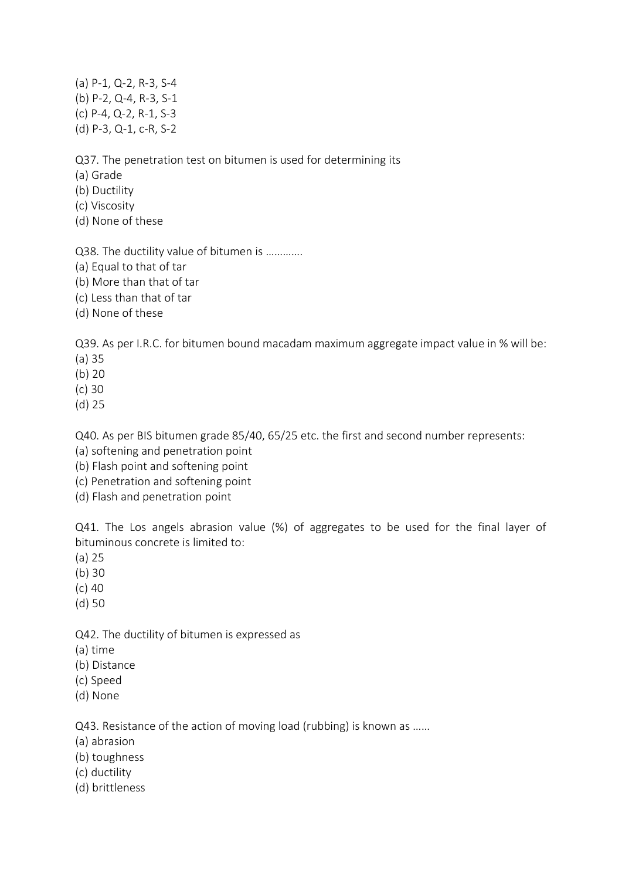(a) P-1, Q-2, R-3, S-4 (b) P-2, Q-4, R-3, S-1 (c) P-4, Q-2, R-1, S-3 (d) P-3, Q-1, c-R, S-2

Q37. The penetration test on bitumen is used for determining its

(a) Grade

- (b) Ductility
- (c) Viscosity
- (d) None of these

Q38. The ductility value of bitumen is ………….

- (a) Equal to that of tar
- (b) More than that of tar
- (c) Less than that of tar
- (d) None of these

Q39. As per I.R.C. for bitumen bound macadam maximum aggregate impact value in % will be:

- (a) 35
- (b) 20
- (c) 30
- (d) 25

Q40. As per BIS bitumen grade 85/40, 65/25 etc. the first and second number represents:

- (a) softening and penetration point
- (b) Flash point and softening point
- (c) Penetration and softening point
- (d) Flash and penetration point

Q41. The Los angels abrasion value (%) of aggregates to be used for the final layer of bituminous concrete is limited to:

- (a) 25
- (b) 30
- (c) 40
- (d) 50

Q42. The ductility of bitumen is expressed as

- (a) time
- (b) Distance
- (c) Speed
- (d) None

Q43. Resistance of the action of moving load (rubbing) is known as ……

- (a) abrasion
- (b) toughness
- (c) ductility
- (d) brittleness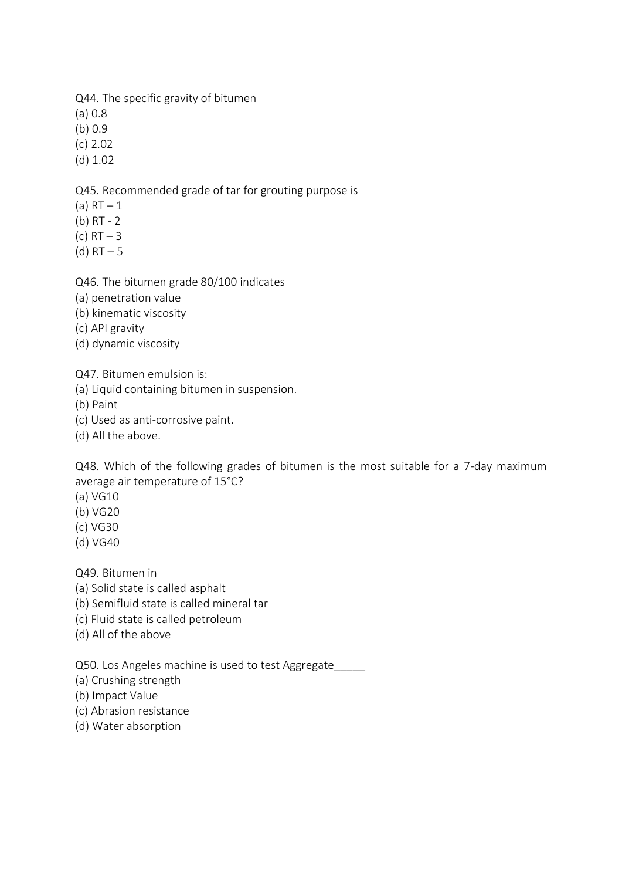Q44. The specific gravity of bitumen

(a) 0.8

(b) 0.9

(c) 2.02

(d) 1.02

Q45. Recommended grade of tar for grouting purpose is

- (a)  $RT 1$
- (b) RT 2
- (c)  $RT 3$
- (d)  $RT 5$

Q46. The bitumen grade 80/100 indicates

- (a) penetration value
- (b) kinematic viscosity
- (c) API gravity
- (d) dynamic viscosity

Q47. Bitumen emulsion is:

(a) Liquid containing bitumen in suspension.

(b) Paint

- (c) Used as anti-corrosive paint.
- (d) All the above.

Q48. Which of the following grades of bitumen is the most suitable for a 7-day maximum average air temperature of 15°C?

(a) VG10

- (b) VG20
- (c) VG30
- (d) VG40

Q49. Bitumen in

- (a) Solid state is called asphalt
- (b) Semifluid state is called mineral tar
- (c) Fluid state is called petroleum
- (d) All of the above

Q50. Los Angeles machine is used to test Aggregate\_\_\_\_\_

(a) Crushing strength

- (b) Impact Value
- (c) Abrasion resistance
- (d) Water absorption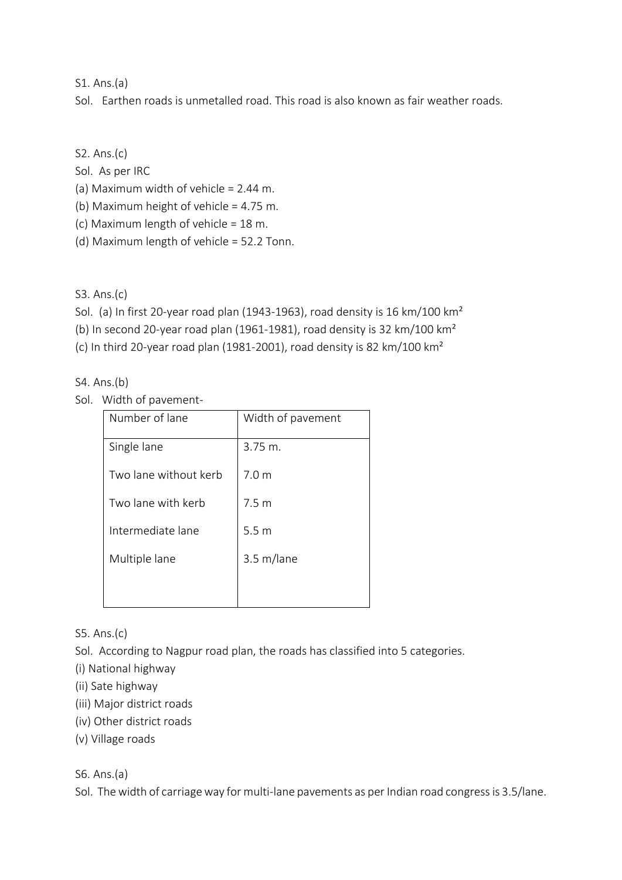## S1. Ans.(a)

Sol. Earthen roads is unmetalled road. This road is also known as fair weather roads.

S2. Ans.(c)

Sol. As per IRC

(a) Maximum width of vehicle = 2.44 m.

(b) Maximum height of vehicle = 4.75 m.

- (c) Maximum length of vehicle = 18 m.
- (d) Maximum length of vehicle = 52.2 Tonn.

S3. Ans.(c)

Sol. (a) In first 20-year road plan (1943-1963), road density is 16 km/100 km²

(b) In second 20-year road plan (1961-1981), road density is 32 km/100 km²

(c) In third 20-year road plan (1981-2001), road density is 82 km/100 km²

S4. Ans.(b)

Sol. Width of pavement-

| Number of lane        | Width of pavement |
|-----------------------|-------------------|
| Single lane           | $3.75 \; m.$      |
| Two lane without kerb | 70m               |
| Two lane with kerb    | 7.5 m             |
| Intermediate lane     | 5.5 <sub>m</sub>  |
| Multiple lane         | 3.5 m/lane        |
|                       |                   |

S5. Ans.(c)

Sol. According to Nagpur road plan, the roads has classified into 5 categories.

(i) National highway

- (ii) Sate highway
- (iii) Major district roads
- (iv) Other district roads
- (v) Village roads

S6. Ans.(a)

Sol. The width of carriage way for multi-lane pavements as per Indian road congress is 3.5/lane.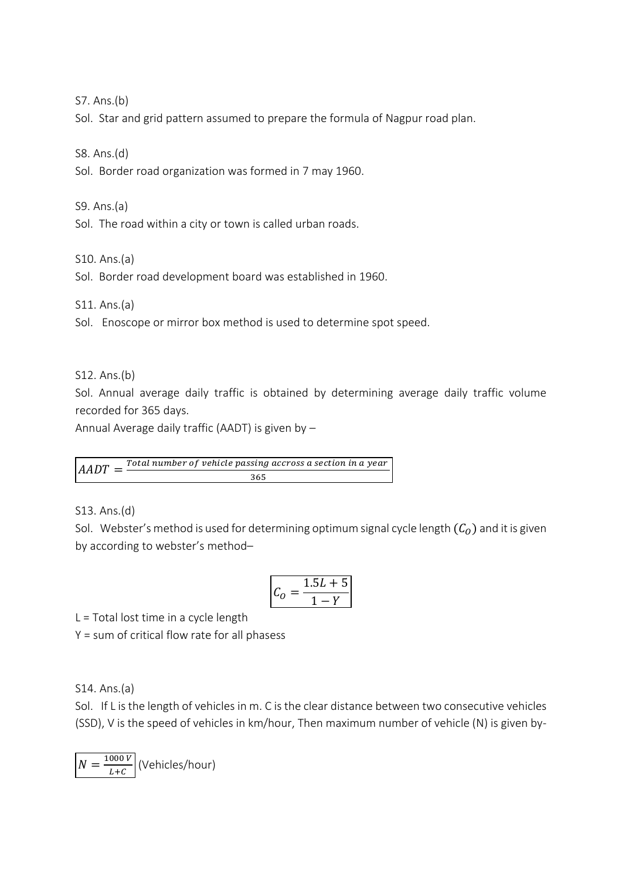S7. Ans.(b)

Sol. Star and grid pattern assumed to prepare the formula of Nagpur road plan.

S8. Ans.(d)

Sol. Border road organization was formed in 7 may 1960.

S9. Ans.(a)

Sol. The road within a city or town is called urban roads.

S10. Ans.(a)

Sol. Border road development board was established in 1960.

S11. Ans.(a)

Sol. Enoscope or mirror box method is used to determine spot speed.

S12. Ans.(b)

Sol. Annual average daily traffic is obtained by determining average daily traffic volume recorded for 365 days.

Annual Average daily traffic (AADT) is given by –

 $AADT = \frac{Total\ number\ of\ vehicle\ passing\ across\ a\ section\ in\ a\ year}$ 365

S13. Ans.(d)

Sol. Webster's method is used for determining optimum signal cycle length  $(C<sub>0</sub>)$  and it is given by according to webster's method–

$$
C_0 = \frac{1.5L + 5}{1 - Y}
$$

L = Total lost time in a cycle length

Y = sum of critical flow rate for all phasess

S14. Ans.(a)

Sol. If L is the length of vehicles in m. C is the clear distance between two consecutive vehicles (SSD), V is the speed of vehicles in km/hour, Then maximum number of vehicle (N) is given by-

$$
N = \frac{1000 V}{L + C}
$$
 (Vehicles/hour)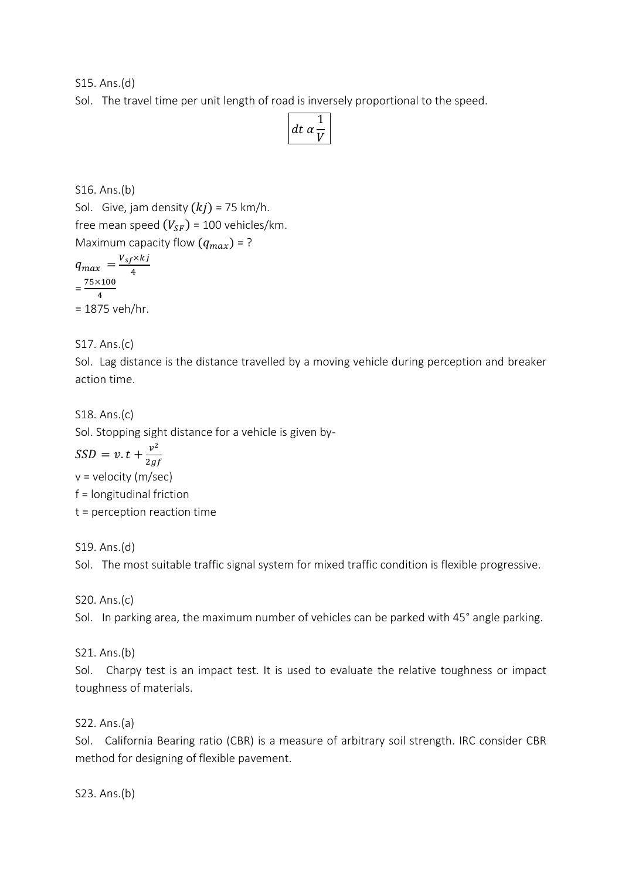S15. Ans.(d)

Sol. The travel time per unit length of road is inversely proportional to the speed.

| ΠT.<br>Ω |
|----------|
|----------|

S16. Ans.(b) Sol. Give, jam density  $(kj)$  = 75 km/h. free mean speed  $(V_{SF})$  = 100 vehicles/km. Maximum capacity flow  $(q_{max}) = ?$ 

 $q_{max} = \frac{V_{sf} \times kj}{4}$ 4  $=\frac{75\times100}{4}$ 4  $= 1875$  veh/hr.

S17. Ans.(c)

Sol. Lag distance is the distance travelled by a moving vehicle during perception and breaker action time.

S18. Ans.(c) Sol. Stopping sight distance for a vehicle is given by-

 $SSD = v \cdot t + \frac{v^2}{2g}$  $2gf$ 

v = velocity (m/sec)

f = longitudinal friction

t = perception reaction time

S19. Ans.(d)

Sol. The most suitable traffic signal system for mixed traffic condition is flexible progressive.

S20. Ans.(c)

Sol. In parking area, the maximum number of vehicles can be parked with 45° angle parking.

S21. Ans.(b)

Sol. Charpy test is an impact test. It is used to evaluate the relative toughness or impact toughness of materials.

S22. Ans.(a)

Sol. California Bearing ratio (CBR) is a measure of arbitrary soil strength. IRC consider CBR method for designing of flexible pavement.

S23. Ans.(b)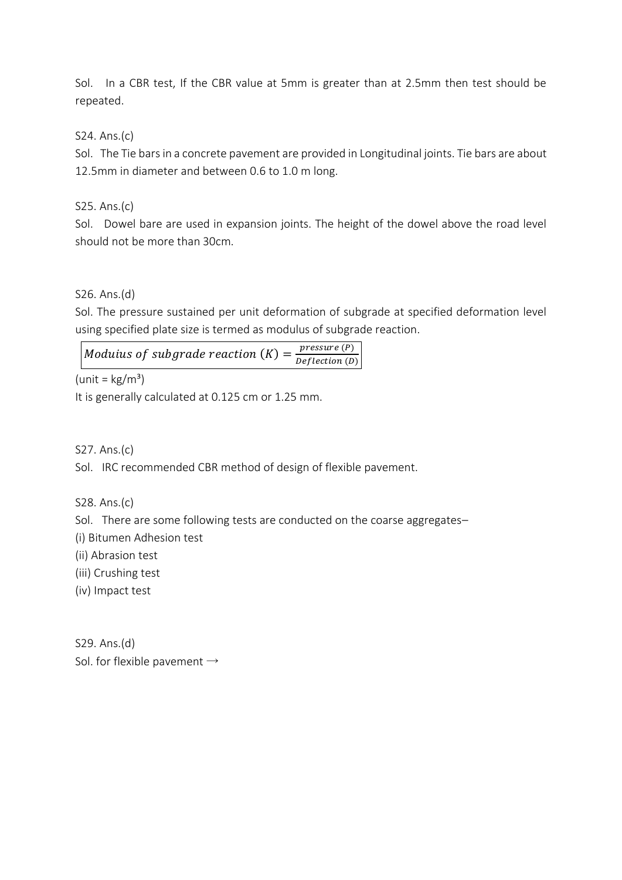Sol. In a CBR test, If the CBR value at 5mm is greater than at 2.5mm then test should be repeated.

# S24. Ans.(c)

Sol. The Tie bars in a concrete pavement are provided in Longitudinal joints. Tie bars are about 12.5mm in diameter and between 0.6 to 1.0 m long.

## S25. Ans.(c)

Sol. Dowel bare are used in expansion joints. The height of the dowel above the road level should not be more than 30cm.

## S26. Ans.(d)

Sol. The pressure sustained per unit deformation of subgrade at specified deformation level using specified plate size is termed as modulus of subgrade reaction.

#### Moduius of subgrade reaction  $(K)$  =  $pressure(P)$  $Definition(D)$

 $(unit = kg/m<sup>3</sup>)$ 

It is generally calculated at 0.125 cm or 1.25 mm.

S27. Ans.(c)

Sol. IRC recommended CBR method of design of flexible pavement.

S28. Ans.(c)

Sol. There are some following tests are conducted on the coarse aggregates–

(i) Bitumen Adhesion test

(ii) Abrasion test

(iii) Crushing test

(iv) Impact test

S29. Ans.(d) Sol. for flexible pavement  $\rightarrow$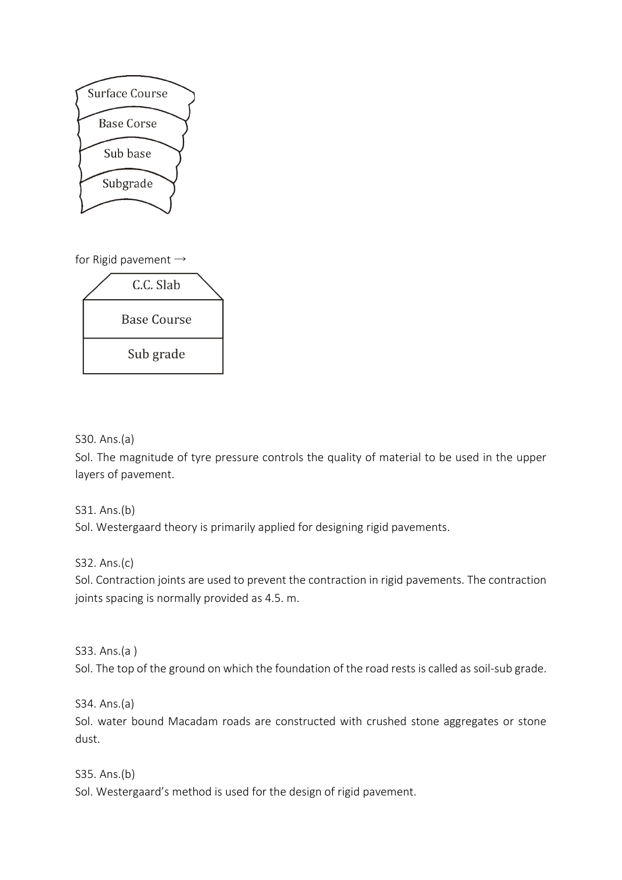

for Rigid pavement  $\rightarrow$ 



# S30. Ans.(a)

Sol. The magnitude of tyre pressure controls the quality of material to be used in the upper layers of pavement.

#### S31. Ans.(b)

Sol. Westergaard theory is primarily applied for designing rigid pavements.

#### S32. Ans.(c)

Sol. Contraction joints are used to prevent the contraction in rigid pavements. The contraction joints spacing is normally provided as 4.5. m.

#### S33. Ans.(a )

Sol. The top of the ground on which the foundation of the road rests is called as soil-sub grade.

S34. Ans.(a)

Sol. water bound Macadam roads are constructed with crushed stone aggregates or stone dust.

#### S35. Ans.(b)

Sol. Westergaard's method is used for the design of rigid pavement.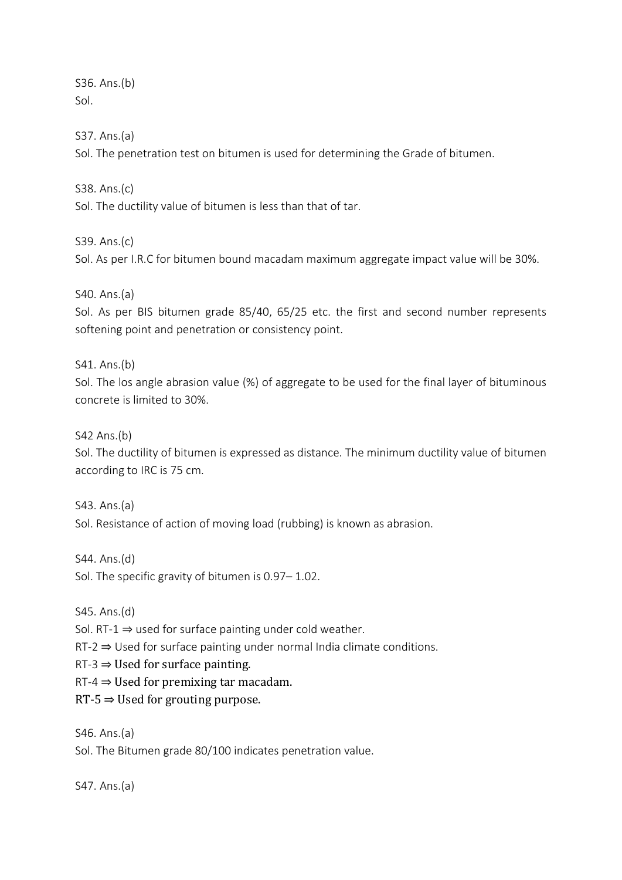S36. Ans.(b) Sol.

S37. Ans.(a)

Sol. The penetration test on bitumen is used for determining the Grade of bitumen.

S38. Ans.(c)

Sol. The ductility value of bitumen is less than that of tar.

S39. Ans.(c) Sol. As per I.R.C for bitumen bound macadam maximum aggregate impact value will be 30%.

S40. Ans.(a)

Sol. As per BIS bitumen grade 85/40, 65/25 etc. the first and second number represents softening point and penetration or consistency point.

S41. Ans.(b)

Sol. The los angle abrasion value (%) of aggregate to be used for the final layer of bituminous concrete is limited to 30%.

S42 Ans.(b)

Sol. The ductility of bitumen is expressed as distance. The minimum ductility value of bitumen according to IRC is 75 cm.

S43. Ans.(a) Sol. Resistance of action of moving load (rubbing) is known as abrasion.

S44. Ans.(d)

Sol. The specific gravity of bitumen is 0.97– 1.02.

S45. Ans.(d)

Sol. RT-1  $\Rightarrow$  used for surface painting under cold weather.

RT-2 ⇒ Used for surface painting under normal India climate conditions.

 $RT-3 \Rightarrow$  Used for surface painting.

 $RT-4 \Rightarrow$  Used for premixing tar macadam.

 $RT-5 \Rightarrow$  Used for grouting purpose.

S46. Ans.(a) Sol. The Bitumen grade 80/100 indicates penetration value.

S47. Ans.(a)